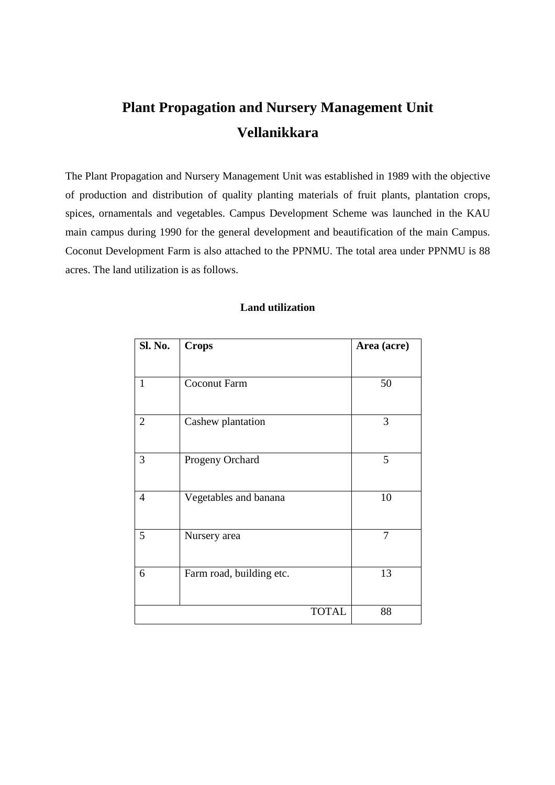# **Plant Propagation and Nursery Management Unit Vellanikkara**

The Plant Propagation and Nursery Management Unit was established in 1989 with the objective of production and distribution of quality planting materials of fruit plants, plantation crops, spices, ornamentals and vegetables. Campus Development Scheme was launched in the KAU main campus during 1990 for the general development and beautification of the main Campus. Coconut Development Farm is also attached to the PPNMU. The total area under PPNMU is 88 acres. The land utilization is as follows.

| Sl. No.        | <b>Crops</b>             | Area (acre) |
|----------------|--------------------------|-------------|
| $\mathbf{1}$   | <b>Coconut Farm</b>      | 50          |
| $\overline{2}$ | Cashew plantation        | 3           |
| 3              | Progeny Orchard          | 5           |
| $\overline{4}$ | Vegetables and banana    | 10          |
| 5              | Nursery area             | 7           |
| 6              | Farm road, building etc. | 13          |
|                | <b>TOTAL</b>             | 88          |

## **Land utilization**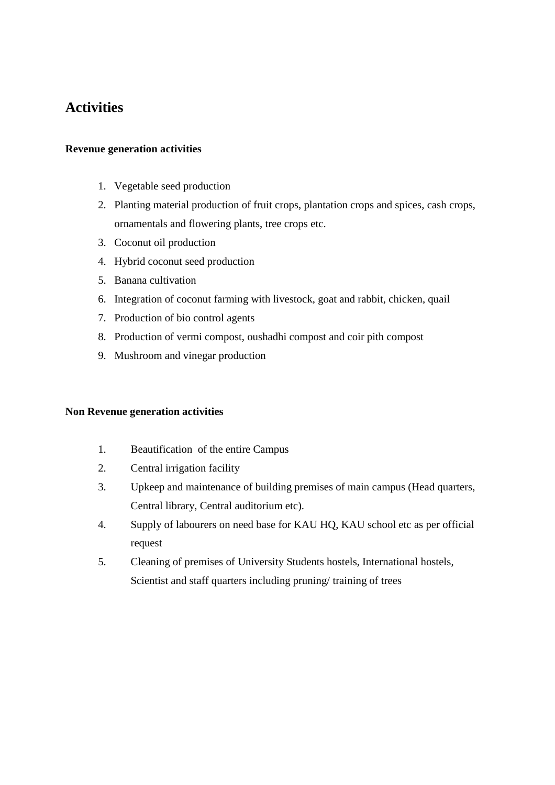# **Activities**

#### **Revenue generation activities**

- 1. Vegetable seed production
- 2. Planting material production of fruit crops, plantation crops and spices, cash crops, ornamentals and flowering plants, tree crops etc.
- 3. Coconut oil production
- 4. Hybrid coconut seed production
- 5. Banana cultivation
- 6. Integration of coconut farming with livestock, goat and rabbit, chicken, quail
- 7. Production of bio control agents
- 8. Production of vermi compost, oushadhi compost and coir pith compost
- 9. Mushroom and vinegar production

#### **Non Revenue generation activities**

- 1. Beautification of the entire Campus
- 2. Central irrigation facility
- 3. Upkeep and maintenance of building premises of main campus (Head quarters, Central library, Central auditorium etc).
- 4. Supply of labourers on need base for KAU HQ, KAU school etc as per official request
- 5. Cleaning of premises of University Students hostels, International hostels, Scientist and staff quarters including pruning/ training of trees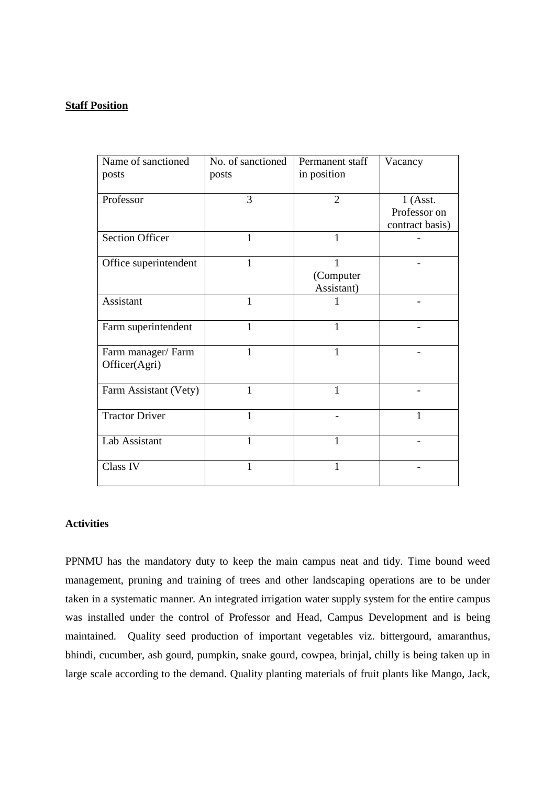#### **Staff Position**

| Name of sanctioned                 | No. of sanctioned | Permanent staff | Vacancy         |
|------------------------------------|-------------------|-----------------|-----------------|
| posts                              | posts             | in position     |                 |
| Professor                          | 3                 | $\overline{2}$  | $1$ (Asst.      |
|                                    |                   |                 | Professor on    |
|                                    |                   |                 | contract basis) |
| <b>Section Officer</b>             | $\mathbf{1}$      | $\mathbf{1}$    |                 |
| Office superintendent              | $\mathbf{1}$      | 1               |                 |
|                                    |                   | (Computer       |                 |
|                                    |                   | Assistant)      |                 |
| Assistant                          | 1                 |                 |                 |
| Farm superintendent                | 1                 | 1               |                 |
| Farm manager/Farm<br>Officer(Agri) | 1                 | 1               |                 |
| Farm Assistant (Vety)              | 1                 | 1               |                 |
| <b>Tractor Driver</b>              | 1                 |                 | 1               |
| Lab Assistant                      | 1                 | 1               |                 |
| Class IV                           | 1                 | 1               |                 |

## **Activities**

PPNMU has the mandatory duty to keep the main campus neat and tidy. Time bound weed management, pruning and training of trees and other landscaping operations are to be under taken in a systematic manner. An integrated irrigation water supply system for the entire campus was installed under the control of Professor and Head, Campus Development and is being maintained. Quality seed production of important vegetables viz. bittergourd, amaranthus, bhindi, cucumber, ash gourd, pumpkin, snake gourd, cowpea, brinjal, chilly is being taken up in large scale according to the demand. Quality planting materials of fruit plants like Mango, Jack,